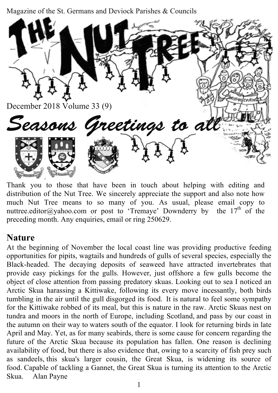Magazine of the St. Germans and Deviock Parishes & Councils



Thank you to those that have been in touch about helping with editing and distribution of the Nut Tree. We sincerely appreciate the support and also note how much Nut Tree means to so many of you. As usual, please email copy to nuttree.editor@yahoo.com or post to 'Tremaye' Downderry by the  $17<sup>th</sup>$  of the preceding month. Any enquiries, email or ring 250629.

### **Nature**

At the beginning of November the local coast line was providing productive feeding opportunities for pipits, wagtails and hundreds of gulls of several species, especially the Black-headed. The decaying deposits of seaweed have attracted invertebrates that provide easy pickings for the gulls. However, just offshore a few gulls become the object of close attention from passing predatory skuas. Looking out to sea I noticed an Arctic Skua harassing a Kittiwake, following its every move incessantly, both birds tumbling in the air until the gull disgorged its food. It is natural to feel some sympathy for the Kittiwake robbed of its meal, but this is nature in the raw. Arctic Skuas nest on tundra and moors in the north of Europe, including Scotland, and pass by our coast in the autumn on their way to waters south of the equator. I look for returning birds in late April and May. Yet, as for many seabirds, there is some cause for concern regarding the future of the Arctic Skua because its population has fallen. One reason is declining availability of food, but there is also evidence that, owing to a scarcity of fish prey such as sandeels, this skua's larger cousin, the Great Skua, is widening its source of food. Capable of tackling a Gannet, the Great Skua is turning its attention to the Arctic Skua. Alan Payne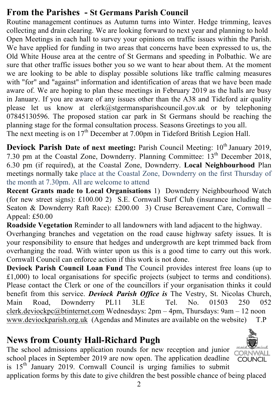### **From the Parishes - St Germans Parish Council**

Routine management continues as Autumn turns into Winter. Hedge trimming, leaves collecting and drain clearing. We are looking forward to next year and planning to hold Open Meetings in each hall to survey your opinions on traffic issues within the Parish. We have applied for funding in two areas that concerns have been expressed to us, the Old White House area at the centre of St Germans and speeding in Polbathic. We are sure that other traffic issues bother you so we want to hear about them. At the moment we are looking to be able to display possible solutions like traffic calming measures with "for" and "against" information and identification of areas that we have been made aware of. We are hoping to plan these meetings in February 2019 as the halls are busy in January. If you are aware of any issues other than the A38 and Tideford air quality please let us know at clerk@stgermansparishcouncil.gov.uk or by telephoning 07845130596. The proposed station car park in St Germans should be reaching the planning stage for the formal consultation process. Seasons Greetings to you all. The next meeting is on 17<sup>th</sup> December at 7.00pm in Tideford British Legion Hall.

**Deviock Parish Date of next meeting: Parish Council Meeting: 10<sup>th</sup> January 2019,** 7.30 pm at the Coastal Zone, Downderry. Planning Committee: 13<sup>th</sup> December 2018, 6.30 pm (if required), at the Coastal Zone, Downderry. **Local Neighbourhood** Plan meetings normally take place at the Coastal Zone, Downderry on the first Thursday of the month at 7.30pm. All are welcome to attend

**Recent Grants made to Local Organisations** 1) Downderry Neighbourhood Watch (for new street signs): £100.00 2) S.E. Cornwall Surf Club (insurance including the Seaton & Downderry Raft Race): £200.00 3) Cruse Bereavement Care, Cornwall – Appeal: £50.00

**Roadside Vegetation** Reminder to all landowners with land adjacent to the highway.

Overhanging branches and vegetation on the road cause highway safety issues. It is your responsibility to ensure that hedges and undergrowth are kept trimmed back from overhanging the road. With winter upon us this is a good time to carry out this work. Cornwall Council can enforce action if this work is not done.

**Deviock Parish Council Loan Fund** The Council provides interest free loans (up to £1,000) to local organisations for specific projects (subject to terms and conditions). Please contact the Clerk or one of the councillors if your organisation thinks it could benefit from this service. *Deviock Parish Office is* The Vestry, St. Nicolas Church, Main Road, Downderry PL11 3LE Tel. No. 01503 250 052 clerk.deviockpc@btinternet.com Wednesdays: 2pm – 4pm, Thursdays: 9am – 12 noon www.deviockparish.org.uk (Agendas and Minutes are available on the website) T.P

### **News from County Hall-Richard Pugh**

The school admissions application rounds for new reception and junior school places in September 2019 are now open. The application deadline is  $15<sup>th</sup>$  January 2019. Cornwall Council is urging families to submit application forms by this date to give children the best possible chance of being placed

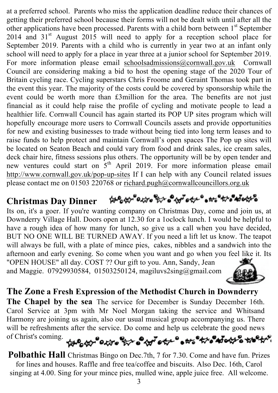at a preferred school. Parents who miss the application deadline reduce their chances of getting their preferred school because their forms will not be dealt with until after all the other applications have been processed. Parents with a child born between 1<sup>st</sup> September  $2014$  and  $31<sup>st</sup>$  August  $2015$  will need to apply for a reception school place for September 2019. Parents with a child who is currently in year two at an infant only school will need to apply for a place in year three at a junior school for September 2019. For more information please email schoolsadmissions@cornwall.gov.uk Cornwall Council are considering making a bid to host the opening stage of the 2020 Tour of Britain cycling race. Cycling superstars Chris Froome and Geraint Thomas took part in the event this year. The majority of the costs could be covered by sponsorship while the event could be worth more than £3million for the area. The benefits are not just financial as it could help raise the profile of cycling and motivate people to lead a healthier life. Cornwall Council has again started its POP UP sites program which will hopefully encourage more users to Cornwall Councils assets and provide opportunities for new and existing businesses to trade without being tied into long term leases and to raise funds to help protect and maintain Cornwall's open spaces The Pop up sites will be located on Seaton Beach and could vary from food and drink sales, ice cream sales, deck chair hire, fitness sessions plus others. The opportunity will be by open tender and new ventures could start on  $5<sup>th</sup>$  April 2019. For more information please email http://www.cornwall.gov.uk/pop-up-sites If I can help with any Council related issues please contact me on 01503 220768 or richard.pugh@cornwallcouncillors.org.uk

#### **Christmas Day Dinner**

Its on, it's a goer. If you're wanting company on Christmas Day, come and join us, at Downderry Village Hall. Doors open at 12.30 for a 1oclock lunch. I would be helpful to have a rough idea of how many for lunch, so give us a call when you have decided, BUT NO ONE WILL BE TURNED AWAY. If you need a lift let us know. The teapot will always be full, with a plate of mince pies, cakes, nibbles and a sandwich into the afternoon and early evening. So come when you want and go when you feel like it. Its "OPEN HOUSE" all day. COST ?? Our gift to you. Ann, Sandy, Jean

and Maggie. 07929930584, 01503250124, magiluvs2sing@gmail.com



### **The Zone a Fresh Expression of the Methodist Church in Downderry**

**The Chapel by the sea** The service for December is Sunday December 16th. Carol Service at 3pm with Mr Noel Morgan taking the service and Whitsand Harmony are joining us again, also our usual musical group accompanying us. There will be refreshments after the service. Do come and help us celebrate the good news of Christ's coming.

# 

**Polbathic Hall** Christmas Bingo on Dec.7th, 7 for 7.30. Come and have fun. Prizes for lines and houses. Raffle and free tea/coffee and biscuits. Also Dec. 16th, Carol singing at 4.00. Sing for your mince pies, mulled wine, apple juice free. All welcome.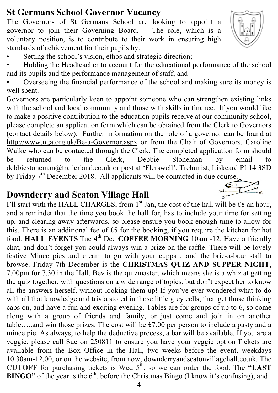### **St Germans School Governor Vacancy**

The Governors of St Germans School are looking to appoint a governor to join their Governing Board. The role, which is a voluntary position, is to contribute to their work in ensuring high standards of achievement for their pupils by:



 $\begin{picture}(20,20) \put(0,0){\line(1,0){10}} \put(15,0){\line(1,0){10}} \put(15,0){\line(1,0){10}} \put(15,0){\line(1,0){10}} \put(15,0){\line(1,0){10}} \put(15,0){\line(1,0){10}} \put(15,0){\line(1,0){10}} \put(15,0){\line(1,0){10}} \put(15,0){\line(1,0){10}} \put(15,0){\line(1,0){10}} \put(15,0){\line(1,0){10}} \put(15,0){\line(1$ 

- Setting the school's vision, ethos and strategic direction;
- Holding the Headteacher to account for the educational performance of the school and its pupils and the performance management of staff; and
- Overseeing the financial performance of the school and making sure its money is well spent.

Governors are particularly keen to appoint someone who can strengthen existing links with the school and local community and those with skills in finance. If you would like to make a positive contribution to the education pupils receive at our community school, please complete an application form which can be obtained from the Clerk to Governors (contact details below). Further information on the role of a governor can be found at http://www.nga.org.uk/Be-a-Governor.aspx or from the Chair of Governors, Caroline Walke who can be contacted through the Clerk. The completed application form should be returned to the Clerk, Debbie Stoneman by email to debbiestoneman@trailerland.co.uk or post at 'Flerswell', Trehunist, Liskeard PL14 3SD by Friday 7<sup>th</sup> December 2018. All applicants will be contacted in due course.

# **Downderry and Seaton Village Hall**

I'll start with the HALL CHARGES, from  $1<sup>st</sup>$  Jan, the cost of the hall will be £8 an hour, and a reminder that the time you book the hall for, has to include your time for setting up, and clearing away afterwards, so please ensure you book enough time to allow for this. There is an additional fee of £5 for the booking, if you require the kitchen for hot food. **HALL EVENTS** Tue 4<sup>th</sup> Dec **COFFEE MORNING** 10am -12. Have a friendly chat, and don't forget you could always win a prize on the raffle. There will be lovely festive Mince pies and cream to go with your cuppa….and the bric-a-brac stall to browse. Friday 7th December is the **CHRISTMAS QUIZ AND SUPPER NIGHT**, 7.00pm for 7.30 in the Hall. Bev is the quizmaster, which means she is a whiz at getting the quiz together, with questions on a wide range of topics, but don't expect her to know all the answers herself, without looking them up! If you've ever wondered what to do with all that knowledge and trivia stored in those little grey cells, then get those thinking caps on, and have a fun and exciting evening. Tables are for groups of up to 6, so come along with a group of friends and family, or just come and join in on another table…..and win those prizes. The cost will be £7.00 per person to include a pasty and a mince pie. As always, to help the deductive process, a bar will be available. If you are a veggie, please call Sue on 250811 to ensure you have your veggie option Tickets are available from the Box Office in the Hall, two weeks before the event, weekdays 10.30am-12.00, or on the website, from now, downderryandseatonvillagehall.co.uk. The **CUTOFF** for purchasing tickets is Wed  $5<sup>th</sup>$ , so we can order the food. The "LAST **BINGO"** of the year is the 6<sup>th</sup>, before the Christmas Bingo (I know it's confusing), and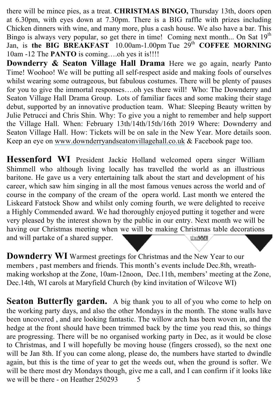there will be mince pies, as a treat. **CHRISTMAS BINGO,** Thursday 13th, doors open at 6.30pm, with eyes down at 7.30pm. There is a BIG raffle with prizes including Chicken dinners with wine, and many more, plus a cash house. We also have a bar. This Bingo is always very popular, so get there in time! Coming next month... On Sat 19<sup>th</sup> Jan, is the BIG BREAKFAST 10.00am-1.00pm Tue 29<sup>th</sup> COFFEE MORNING 10am -12 The **PANTO** is coming….oh yes it is!!!!

**Downderry & Seaton Village Hall Drama** Here we go again, nearly Panto Time! Woohoo! We will be putting all self-respect aside and making fools of ourselves whilst wearing some outrageous, but fabulous costumes. There will be plenty of pauses for you to give the immortal responses….oh yes there will! Who: The Downderry and Seaton Village Hall Drama Group. Lots of familiar faces and some making their stage debut, supported by an innovative production team. What: Sleeping Beauty written by Julie Petrucci and Chris Shin. Why: To give you a night to remember and help support the Village Hall. When: February 13th/14th/15th/16th 2019 Where: Downderry and Seaton Village Hall. How: Tickets will be on sale in the New Year. More details soon. Keep an eye on www.downderryandseatonvillagehall.co.uk & Facebook page too.

**Hessenford WI** President Jackie Holland welcomed opera singer William Shimmell who although living locally has travelled the world as an illustrious baritone. He gave us a very entertaining talk about the start and development of his career, which saw him singing in all the most famous venues across the world and of course in the company of the cream of the opera world. Last month we entered the Liskeard Fatstock Show and whilst only coming fourth, we were delighted to receive a Highly Commended award. We had thoroughly enjoyed putting it together and were very pleased by the interest shown by the public in our entry. Next month we will be having our Christmas meeting when we will be making Christmas table decorations and will partake of a shared supper. theWI

**Downderry WI** Warmest greetings for Christmas and the New Year to our members , past members and friends. This month's events include Dec.8th, wreathmaking workshop at the Zone, 10am-12noon, Dec.11th, members' meeting at the Zone, Dec.14th, WI carols at Maryfield Church (by kind invitation of Wilcove WI)

**Seaton Butterfly garden.** A big thank you to all of you who come to help on the working party days, and also the other Mondays in the month. The stone walls have been uncovered , and are looking fantastic. The willow arch has been woven in, and the hedge at the front should have been trimmed back by the time you read this, so things are progressing. There will be no organised working party in Dec, as it would be close to Christmas, and I will hopefully be moving house (fingers crossed), so the next one will be Jan 8th. If you can come along, please do, the numbers have started to dwindle again, but this is the time of year to get the weeds out, when the ground is softer. We will be there most dry Mondays though, give me a call, and I can confirm if it looks like we will be there - on Heather 250293 5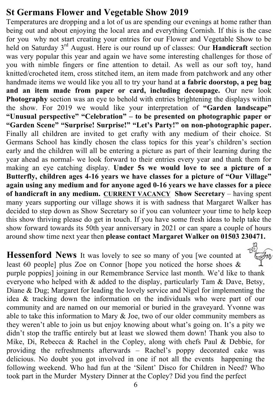### **St Germans Flower and Vegetable Show 2019**

Temperatures are dropping and a lot of us are spending our evenings at home rather than being out and about enjoying the local area and everything Cornish. If this is the case for you why not start creating your entries for our Flower and Vegetable Show to be held on Saturday 3rd August. Here is our round up of classes: Our **Handicraft** section was very popular this year and again we have some interesting challenges for those of you with nimble fingers or fine attention to detail. As well as our soft toy, hand knitted/crocheted item, cross stitched item, an item made from patchwork and any other handmade items we would like you all to try your hand at **a fabric doorstop, a peg bag and an item made from paper or card, including decoupage.** Our new look **Photography** section was an eye to behold with entries brightening the displays within the show. For 2019 we would like your interpretation of **"Garden landscape" "Unusual perspective" "Celebration" – to be presented on photographic paper or "Garden Scene" "Surprise! Surprise!" "Let's Party!" on non-photographic paper.** Finally all children are invited to get crafty with any medium of their choice. St Germans School has kindly chosen the class topics for this year's children's section early and the children will all be entering a picture as part of their learning during the year ahead as normal- we look forward to their entries every year and thank them for making an eye catching display. **Under 5s we would love to see a picture of a Butterfly, children ages 4-16 years we have classes for a picture of "Our Village" again using any medium and for anyone aged 0-16 years we have classes for a piece of handicraft in any medium. CURRENT VACANCY Show Secretary** – having spent many years supporting our village shows it is with sadness that Margaret Walker has decided to step down as Show Secretary so if you can volunteer your time to help keep this show thriving please do get in touch. If you have some fresh ideas to help take the show forward towards its 50th year anniversary in 2021 or can spare a couple of hours around show time next year then **please contact Margaret Walker on 01503 230471.**

**Hessenford News** It was lovely to see so many of you [we counted at least 60 people] plus Zoe on Connor [hope you noticed the horse shoes & purple poppies] joining in our Remembrance Service last month. We'd like to thank everyone who helped with & added to the display, particularly Tam & Dave, Betsy, Diane & Dug; Margaret for leading the lovely service and Nigel for implementing the idea & tracking down the information on the individuals who were part of our community and are named on our memorial or buried in the graveyard. Yvonne was able to take this information to Mary & Joe, two of our older community members as they weren't able to join us but enjoy knowing about what's going on. It's a pity we didn't stop the traffic entirely but at least we slowed them down! Thank you also to Mike, Di, Rebecca & Rachel in the Copley, along with chefs Paul & Debbie, for providing the refreshments afterwards – Rachel's poppy decorated cake was delicious. No doubt you got involved in one if not all the events happening the following weekend. Who had fun at the 'Silent' Disco for Children in Need? Who took part in the Murder Mystery Dinner at the Copley? Did you find the perfect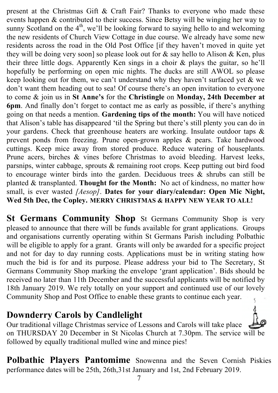present at the Christmas Gift & Craft Fair? Thanks to everyone who made these events happen & contributed to their success. Since Betsy will be winging her way to sunny Scotland on the  $4<sup>th</sup>$ , we'll be looking forward to saying hello to and welcoming the new residents of Church View Cottage in due course. We already have some new residents across the road in the Old Post Office [if they haven't moved in quite yet they will be doing very soon] so please look out for & say hello to Alison & Ken, plus their three little dogs. Apparently Ken sings in a choir & plays the guitar, so he'll hopefully be performing on open mic nights. The ducks are still AWOL so please keep looking out for them, we can't understand why they haven't surfaced yet & we don't want them heading out to sea! Of course there's an open invitation to everyone to come & join us in **St Anne's** for the **Christingle** on **Monday, 24th December at 6pm**. And finally don't forget to contact me as early as possible, if there's anything going on that needs a mention. **Gardening tips of the month:** You will have noticed that Alison's table has disappeared 'til the Spring but there's still plenty you can do in your gardens. Check that greenhouse heaters are working. Insulate outdoor taps & prevent ponds from freezing. Prune open-grown apples & pears. Take hardwood cuttings. Keep mice away from stored produce. Reduce watering of houseplants. Prune acers, birches & vines before Christmas to avoid bleeding. Harvest leeks, parsnips, winter cabbage, sprouts & remaining root crops. Keep putting out bird food to encourage winter birds into the garden. Deciduous trees & shrubs can still be planted & transplanted. **Thought for the Month:** No act of kindness, no matter how small, is ever wasted *[Aesop]*. **Dates for your diary/calendar: Open Mic Night, Wed 5th Dec, the Copley. MERRY CHRISTMAS & HAPPY NEW YEAR TO ALL!**

**St Germans Community Shop** St Germans Community Shop is very pleased to announce that there will be funds available for grant applications. Groups and organisations currently operating within St Germans Parish including Polbathic will be eligible to apply for a grant. Grants will only be awarded for a specific project and not for day to day running costs. Applications must be in writing stating how much the bid is for and its purpose. Please address your bid to The Secretary, St Germans Community Shop marking the envelope 'grant application'. Bids should be received no later than 11th December and the successful applicants will be notified by 18th January 2019. We rely totally on your support and continued use of our lovely Community Shop and Post Office to enable these grants to continue each year.

### **Downderry Carols by Candlelight**

Our traditional village Christmas service of Lessons and Carols will take place on THURSDAY 20 December in St Nicolas Church at 7.30pm. The service will be followed by equally traditional mulled wine and mince pies!

**Polbathic Players Pantomime** Snowenna and the Seven Cornish Piskies performance dates will be 25th, 26th,31st January and 1st, 2nd February 2019.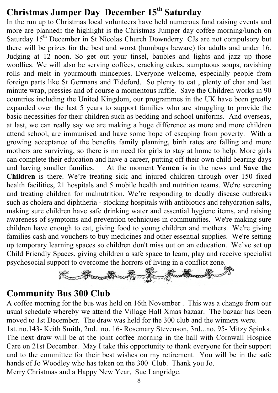# **Christmas Jumper Day December 15th Saturday**

In the run up to Christmas local volunteers have held numerous fund raising events and more are planned**:** the highlight is the Christmas Jumper day coffee morning/lunch on Saturday  $15<sup>th</sup>$  December in St Nicolas Church Downderry. CJs are not compulsory but there will be prizes for the best and worst (humbugs beware) for adults and under 16. Judging at 12 noon. So get out your tinsel, baubles and lights and jazz up those woollies. We will also be serving coffees, cracking cakes, sumptuous soups, ravishing rolls and melt in yourmouth mincepies. Everyone welcome, especially people from foreign parts like St Germans and Tideford. So plenty to eat , plenty of chat and last minute wrap, pressies and of course a momentous raffle. Save the Children works in 90 countries including the United Kingdom, our programmes in the UK have been greatly expanded over the last 5 years to support families who are struggling to provide the basic necessities for their children such as bedding and school uniforms. And overseas, at last, we can really say we are making a huge difference as more and more children attend school, are immunised and have some hope of escaping from poverty. With a growing acceptance of the benefits family planning, birth rates are falling and more mothers are surviving, so there is no need for girls to stay at home to help. More girls can complete their education and have a career, putting off their own child bearing days and having smaller families. At the moment **Yemen** is in the news and **Save the Children** is there. We're treating sick and injured children through over 150 fixed health facilities, 21 hospitals and 5 mobile health and nutrition teams. We're screening and treating children for malnutrition. We're responding to deadly disease outbreaks such as cholera and diphtheria - stocking hospitals with antibiotics and rehydration salts, making sure children have safe drinking water and essential hygiene items, and raising awareness of symptoms and prevention techniques in communities. We're making sure children have enough to eat, giving food to young children and mothers. We're giving families cash and vouchers to buy medicines and other essential supplies. We're setting up temporary learning spaces so children don't miss out on an education. We've set up Child Friendly Spaces, giving children a safe space to learn, play and receive specialist



### **Community Bus 300 Club**

A coffee morning for the bus was held on 16th November . This was a change from our usual schedule whereby we attend the Village Hall Xmas bazaar. The bazaar has been moved to 1st December. The draw was held for the 300 club and the winners were.

1st..no.143- Keith Smith, 2nd...no. 16- Rosemary Stevenson, 3rd...no. 95- Mitzy Spinks. The next draw will be at the joint coffee morning in the hall with Cornwall Hospice Care on 21st December. May I take this opportunity to thank everyone for their support and to the committee for their best wishes on my retirement. You will be in the safe hands of Jo Woodley who has taken on the 300 Club. Thank you Jo.

Merry Christmas and a Happy New Year, Sue Langridge.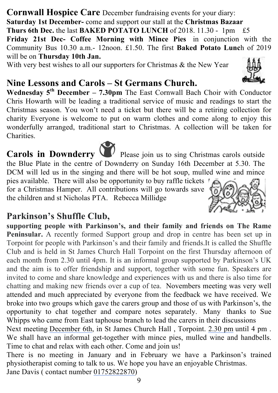**Cornwall Hospice Care** December fundraising events for your diary: **Saturday 1st December-** come and support our stall at the **Christmas Bazaar Thurs 6th Dec.** the last **BAKED POTATO LUNCH** of 2018. 11.30 - 1pm £5 **Friday 21st Dec- Coffee Morning with Mince Pies** in conjunction with the Community Bus 10.30 a.m.- 12noon. £1.50. The first **Baked Potato Lunc**h of 2019 will be on **Thursday 10th Jan.**

With very best wishes to all our supporters for Christmas & the New Year

### **Nine Lessons and Carols – St Germans Church.**

**Wednesday 5th December – 7.30pm** The East Cornwall Bach Choir with Conductor Chris Howarth will be leading a traditional service of music and readings to start the Christmas season. You won't need a ticket but there will be a retiring collection for charity Everyone is welcome to put on warm clothes and come along to enjoy this wonderfully arranged, traditional start to Christmas. A collection will be taken for Charities.

# **Carols in Downderry** Please join us to sing Christmas carols outside

the Blue Plate in the centre of Downderry on Sunday 16th December at 5.30. The DCM will led us in the singing and there will be hot soup, mulled wine and mince pies available. There will also be opportunity to buy raffle tickets

for a Christmas Hamper. All contributions will go towards save the children and st Nicholas PTA. Rebecca Millidge

# **Parkinson's Shuffle Club,**

**supporting people with Parkinson's, and their family and friends on The Rame Peninsular.** A recently formed Support group and drop in centre has been set up in Torpoint for people with Parkinson's and their family and friends.It is called the Shuffle Club and is held in St James Church Hall Torpoint on the first Thursday afternoon of each month from 2.30 until 4pm. It is an informal group supported by Parkinson's UK and the aim is to offer friendship and support, together with some fun. Speakers are invited to come and share knowledge and experiences with us and there is also time for chatting and making new friends over a cup of tea. Novembers meeting was very well attended and much appreciated by everyone from the feedback we have received. We broke into two groups which gave the carers group and those of us with Parkinson's, the opportunity to chat together and compare notes separately. Many thanks to Sue Whipps who came from East taphouse branch to lead the carers in their discussions

Next meeting December 6th, in St James Church Hall , Torpoint. 2.30 pm until 4 pm . We shall have an informal get-together with mince pies, mulled wine and handbells. Time to chat and relax with each other. Come and join us!

There is no meeting in January and in February we have a Parkinson's trained physiotherapist coming to talk to us. We hope you have an enjoyable Christmas. Jane Davis ( contact number 01752822870)





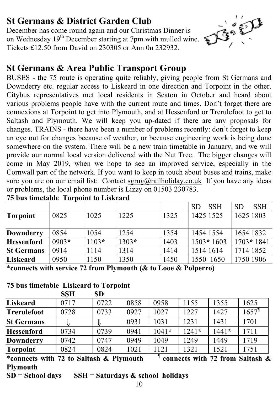# **St Germans & District Garden Club**

December has come round again and our Christmas Dinner is on Wednesday 19<sup>th</sup> December starting at 7pm with mulled wine. Tickets £12.50 from David on 230305 or Ann 0n 232932.



# **St Germans & Area Public Transport Group**

BUSES - the 75 route is operating quite reliably, giving people from St Germans and Downderry etc. regular access to Liskeard in one direction and Torpoint in the other. Citybus representatives met local residents in Seaton in October and heard about various problems people have with the current route and times. Don't forget there are connexions at Torpoint to get into Plymouth, and at Hessenford or Trerulefoot to get to Saltash and Plymouth. We will keep you up-dated if there are any proposals for changes. TRAINS - there have been a number of problems recently: don't forget to keep an eye out for changes because of weather, or because engineering work is being done somewhere on the system. There will be a new train timetable in January, and we will provide our normal local version delivered with the Nut Tree. The bigger changes will come in May 2019, when we hope to see an improved service, especially in the Cornwall part of the network. If you want to keep in touch about buses and trains, make sure you are on our email list: Contact sgrug@railholiday.co.uk If you have any ideas or problems, the local phone number is Lizzy on 01503 230783. **75 bus timetable Torpoint to Liskeard** 

|                   |         |         |         |      | <b>SSH</b><br><b>SD</b> | <b>SSH</b><br><b>SD</b> |
|-------------------|---------|---------|---------|------|-------------------------|-------------------------|
| <b>Torpoint</b>   | 0825    | 1025    | 1225    | 1325 | 1425 1525               | 1625 1803               |
|                   |         |         |         |      |                         |                         |
| <b>Downderry</b>  | 0854    | 1054    | 1254    | 1354 | 1454 1554               | 1654 1832               |
| <b>Hessenford</b> | $0903*$ | $1103*$ | $1303*$ | 1403 | $1503*1603$             | $1703*1841$             |
| <b>St Germans</b> | 0914    | 1114    | 1314    | 1414 | 1514 1614               | 1714 1852               |
| Liskeard          | 0950    | 1150    | 1350    | 1450 | 1550 1650               | 1750 1906               |

\***connects with service 72 from Plymouth (& to Looe & Polperro)**

#### **75 bus timetable Liskeard to Torpoint**

|                                                                                                                               | <b>SSH</b> | <b>SD</b> |      |         |         |         |       |
|-------------------------------------------------------------------------------------------------------------------------------|------------|-----------|------|---------|---------|---------|-------|
| <b>Liskeard</b>                                                                                                               | 0717       | 0722      | 0858 | 0958    | 1155    | 1355    | 1625  |
| <b>Trerulefoot</b>                                                                                                            | 0728       | 0733      | 0927 | 1027    | 1227    | 1427    | 1657' |
| <b>St Germans</b>                                                                                                             |            |           | 0931 | 1031    | 1231    | 1431    | 1701  |
| <b>Hessenford</b>                                                                                                             | 0734       | 0739      | 0941 | $1041*$ | $1241*$ | $1441*$ | 1711  |
| <b>Downderry</b>                                                                                                              | 0742       | 0747      | 0949 | 1049    | 1249    | 1449    | 1719  |
| <b>Torpoint</b>                                                                                                               | 0824       | 0824      | 1021 | 121     | 1321    | 1521    | 1751  |
| $\mathbf{a}$<br>.<br>$  \sim$ $ -$<br>.<br>$\bullet$ . $\bullet$<br>-- -<br>$\sim$ $\sim$ $\sim$<br>$\mathbf{r}$ $\mathbf{r}$ |            |           |      |         |         |         |       |

\***connects with 72 to Saltash & Plymouth** ¶ **connects with 72 from Saltash & Plymouth**

**SD = School days SSH = Saturdays & school holidays**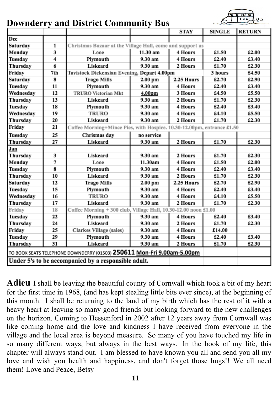

### **Downderry and District Community Bus**

|                                                                        |     |                                                                        |            | <b>STAY</b> | <b>SINGLE</b> | <b>RETURN</b> |  |  |  |
|------------------------------------------------------------------------|-----|------------------------------------------------------------------------|------------|-------------|---------------|---------------|--|--|--|
| Dec                                                                    |     |                                                                        |            |             |               |               |  |  |  |
| Saturday                                                               | 1   | Christmas Bazaar at the Village Hall, come and support us              |            |             |               |               |  |  |  |
| Monday                                                                 | 3   | Looe                                                                   | 11.30 am   | 4 Hours     | £1.50         | £2.00         |  |  |  |
| Tuesday                                                                | 4   | Plymouth                                                               | 9.30 am    | 4 Hours     | £2.40         | £3.40         |  |  |  |
| Thursday                                                               | 6   | Liskeard                                                               | 9.30 am    | 2 Hours     | £1.70         | £2.30         |  |  |  |
| Friday                                                                 | 7th | Tavistock Dickensian Evening, Depart 4.00pm                            |            | 3 hours     | £4.50         |               |  |  |  |
| Saturday                                                               | 8   | <b>Trago Mills</b>                                                     | 2.25 Hours | £2.70       | £2.90         |               |  |  |  |
| Tuesday                                                                | 11  | Plymouth                                                               | 9.30 am    | 4 Hours     | £2.40         | £3.40         |  |  |  |
| Wednesday                                                              | 12  | <b>TRURO Victorian Mkt</b>                                             | 4.00pm     | 3 Hours     | £4.50         | £5.50         |  |  |  |
| Thursday                                                               | 13  | Liskeard                                                               | 9.30 am    | 2 Hours     | £1.70         | £2.30         |  |  |  |
| Tuesday                                                                | 18  | Plymouth                                                               | 9.30 am    | 4 Hours     | £2.40         | £3.40         |  |  |  |
| Wednesday                                                              | 19  | <b>TRURO</b>                                                           | 9.30 am    | 4 Hours     | £4.10         | £5.50         |  |  |  |
| Thursday                                                               | 20  | Liskeard                                                               | 9.30 am    | 2 Hours     | £1.70         | £2.30         |  |  |  |
| Friday                                                                 | 21  | Coffee Morning+Mince Pies, with Hospice. 10.30-12.00pm, entrance £1.50 |            |             |               |               |  |  |  |
| Tuesday                                                                | 25  | Chrismas day                                                           | no service |             |               |               |  |  |  |
| Thursday                                                               | 27  | Liskeard                                                               | 9.30 am    | 2 Hours     | £1.70         | £2.30         |  |  |  |
| Jan                                                                    |     |                                                                        |            |             |               |               |  |  |  |
| Thursday                                                               | 3   | Liskeard                                                               | 9.30 am    | 2 Hours     | £1.70         | £2.30         |  |  |  |
| Monday                                                                 | 7   | Looe                                                                   | 11.30am    | 4 Hours     | £1.50         | £2.00         |  |  |  |
| Tuesday                                                                | 8   | Plymouth                                                               | 9.30 am    | 4 Hours     | £2.40         | £3.40         |  |  |  |
| Thursday                                                               | 10  | Liskeard                                                               | 9.30 am    | 2 Hours     | £1.70         | £2.30         |  |  |  |
| Saturday                                                               | 12  | <b>Trago Mills</b>                                                     | $2.00$ pm  | 2.25 Hours  | £2.70         | £2.90         |  |  |  |
| Tuesday                                                                | 15  | Plymouth                                                               | 9.30 am    | 4 Hours     | £2.40         | £3.40         |  |  |  |
| Wednesday                                                              | 16  | <b>TRURO</b>                                                           | 9.30 am    | 4 Hours     | £4.10         | £5.50         |  |  |  |
| Thursday                                                               | 17  | Liskeard                                                               | 9.30 am    | 2 Hours     | £1.70         | £2.30         |  |  |  |
| Friday                                                                 | 18  | Coffee Morning + 300 club, Village Hall, 10.30-12.00 noon £1.00        |            |             |               |               |  |  |  |
| Tuesday                                                                | 22  | Plymouth                                                               | 9.30 am    | 4 Hours     | £2.40         | £3.40         |  |  |  |
| Thursday                                                               | 24  | Liskeard                                                               | 9.30 am    | 2 Hours     | £1.70         | £2.30         |  |  |  |
| Friday                                                                 | 25  | Clarkes Village (sales)                                                | 9.30 am    | 4 Hours     | £14.00        |               |  |  |  |
| Tuesday                                                                | 29  | Plymouth                                                               | 9.30 am    | 4 Hours     | £2.40         | £3.40         |  |  |  |
| Thursday                                                               | 31  | Liskeard                                                               | 9.30 am    | 2 Hours     | £1.70         | £2.30         |  |  |  |
| TO BOOK SEATS TELEPHONE DOWNDERRY (01503) 250611 Mon-Fri 9.00am-5.00pm |     |                                                                        |            |             |               |               |  |  |  |
| Under 5's to be accompanied by a responsible adult.                    |     |                                                                        |            |             |               |               |  |  |  |

**Adieu** I shall be leaving the beautiful county of Cornwall which took a bit of my heart for the first time in 1968, (and has kept stealing little bits ever since), at the beginning of this month. I shall be returning to the land of my birth which has the rest of it with a heavy heart at leaving so many good friends but looking forward to the new challenges on the horizon. Coming to Hessenford in 2002 after 12 years away from Cornwall was like coming home and the love and kindness I have received from everyone in the village and the local area is beyond measure. So many of you have touched my life in so many different ways, but always in the best ways. In the book of my life, this chapter will always stand out. I am blessed to have known you all and send you all my love and wish you health and happiness, and don't forget those hugs!! We all need them! Love and Peace, Betsy